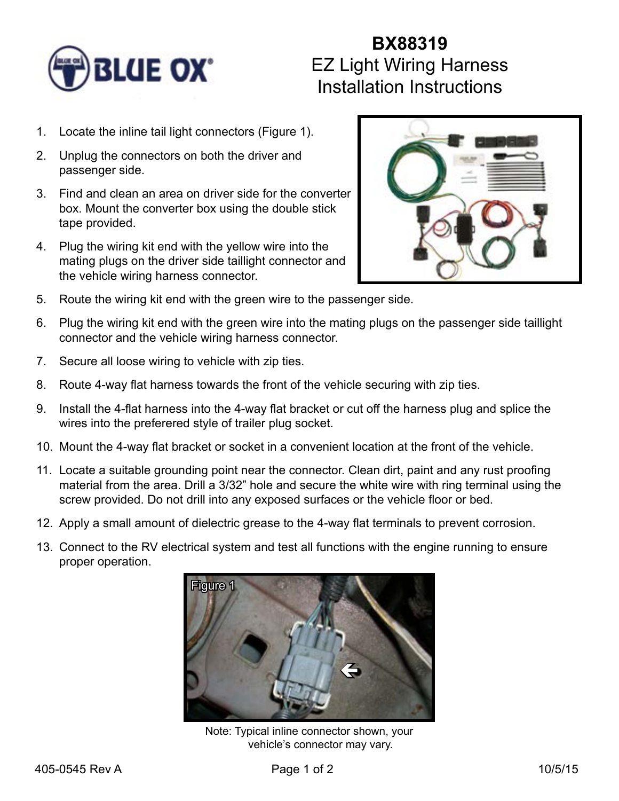

## **BX88319** EZ Light Wiring Harness Installation Instructions

- 1. Locate the inline tail light connectors (Figure 1).
- 2. Unplug the connectors on both the driver and passenger side.
- 3. Find and clean an area on driver side for the converter box. Mount the converter box using the double stick tape provided.
- 4. Plug the wiring kit end with the yellow wire into the mating plugs on the driver side taillight connector and the vehicle wiring harness connector.



- 5. Route the wiring kit end with the green wire to the passenger side.
- 6. Plug the wiring kit end with the green wire into the mating plugs on the passenger side taillight connector and the vehicle wiring harness connector.
- 7. Secure all loose wiring to vehicle with zip ties.
- 8. Route 4-way flat harness towards the front of the vehicle securing with zip ties.
- 9. Install the 4-flat harness into the 4-way flat bracket or cut off the harness plug and splice the wires into the preferered style of trailer plug socket.
- 10. Mount the 4-way flat bracket or socket in a convenient location at the front of the vehicle.
- 11. Locate a suitable grounding point near the connector. Clean dirt, paint and any rust proofing material from the area. Drill a 3/32" hole and secure the white wire with ring terminal using the screw provided. Do not drill into any exposed surfaces or the vehicle floor or bed.
- 12. Apply a small amount of dielectric grease to the 4-way flat terminals to prevent corrosion.
- 13. Connect to the RV electrical system and test all functions with the engine running to ensure proper operation.



Note: Typical inline connector shown, your vehicle's connector may vary.